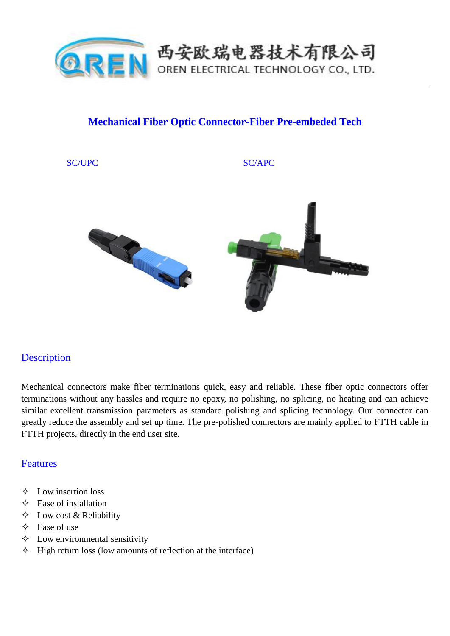

## **Mechanical Fiber Optic Connector-Fiber Pre-embeded Tech**

#### SC/UPC SC/APC



## **Description**

Mechanical connectors make fiber terminations quick, easy and reliable. These fiber optic connectors offer terminations without any hassles and require no epoxy, no polishing, no splicing, no heating and can achieve similar excellent transmission parameters as standard polishing and splicing technology. Our connector can greatly reduce the assembly and set up time. The pre-polished connectors are mainly applied to FTTH cable in FTTH projects, directly in the end user site.

### Features

- $\Diamond$  Low insertion loss
- $\Diamond$  Ease of installation
- $\Diamond$  Low cost & Reliability
- $\triangle$  Ease of use
- $\Diamond$  Low environmental sensitivity
- $\Diamond$  High return loss (low amounts of reflection at the interface)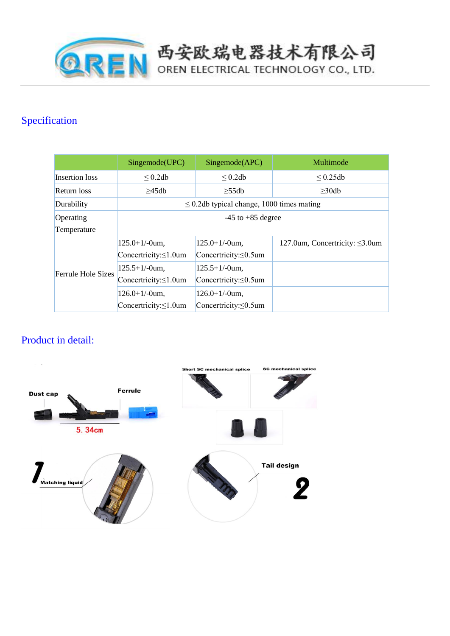

# Specification

|                           | Singemode(UPC)                                 | Singemode(APC)               | Multimode                            |
|---------------------------|------------------------------------------------|------------------------------|--------------------------------------|
| Insertion loss            | $\leq$ 0.2db                                   | $\leq$ 0.2db                 | $\leq 0.25$ db                       |
| Return loss               | >45db                                          | $>55$ db                     | $\geq$ 30db                          |
| Durability                | $\leq$ 0.2db typical change, 1000 times mating |                              |                                      |
| Operating                 | $-45$ to $+85$ degree                          |                              |                                      |
| Temperature               |                                                |                              |                                      |
| <b>Ferrule Hole Sizes</b> | $125.0 + 1/-0$ um.                             | $125.0 + 1/$ -0um,           | 127.0um, Concertricity: $\leq$ 3.0um |
|                           | Concertricity: $\leq 1.0$ um                   | Concertricity: $\leq 0.5$ um |                                      |
|                           | $125.5+1/-0$ um.                               | $125.5+1/-0$ um,             |                                      |
|                           | Concertricity: $\leq 1.0$ um                   | Concertricity: $\leq 0.5$ um |                                      |
|                           | $126.0+1/-0$ um,                               | $126.0+1/-0$ um,             |                                      |
|                           | Concertricity: $\leq 1.0$ um                   | Concertricity: $\leq 0.5$ um |                                      |

西安欧瑞电器技术有限公司

# Product in detail:

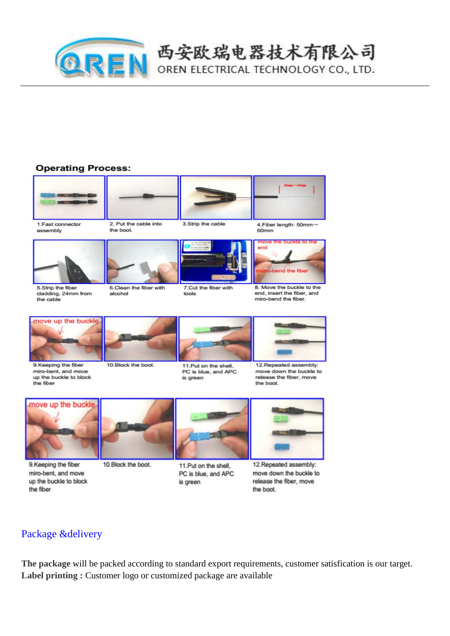

# 西安欧瑞电器技术有限公司

OREN ELECTRICAL TECHNOLOGY CO., LTD.

### **Operating Process:**



1. Fast connector

assembly

2. Put the cable into

the hoot

alcohol



4. Fiber length: 50mm~  $60mm$ 



cladding, 24mm from the cable





7. Cut the fiber with tools

3 Strin the cable

8. Move the buckle to the end, insert the fiber, and miro-bend the fiber.



9.Keeping the fiber miro-bent, and move up the buckle to block the fiber



11 Put on the shell PC is blue, and APC is green



12.Repeated assembly: move down the buckle to release the fiber, move the boot.



9.Keeping the fiber miro-bent, and move up the buckle to block the fiber



10.Block the boot.



11.Put on the shell, PC is blue, and APC is green



12. Repeated assembly: move down the buckle to release the fiber, move the boot.

## Package &delivery

The package will be packed according to standard export requirements, customer satisfication is our target. Label printing: Customer logo or customized package are available